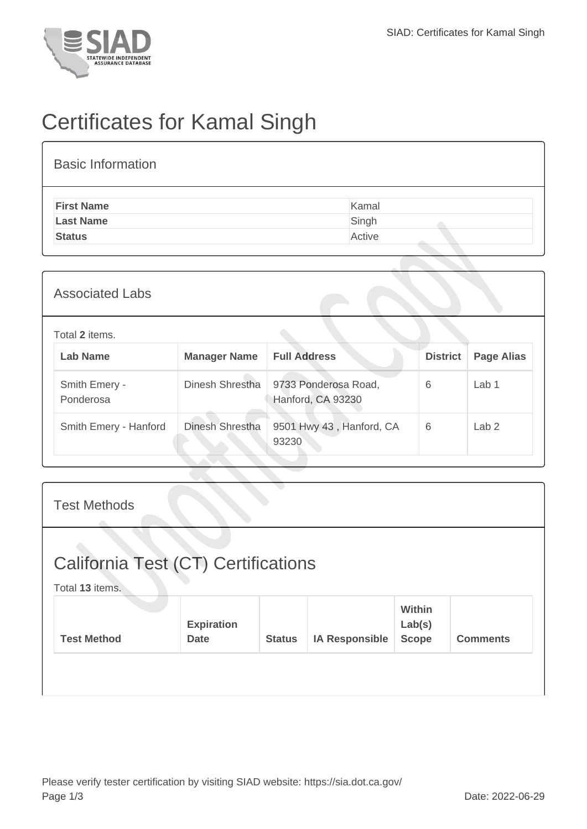

## Certificates for Kamal Singh

| <b>Basic Information</b> |        |
|--------------------------|--------|
| <b>First Name</b>        | Kamal  |
| <b>Last Name</b>         | Singh  |
| <b>Status</b>            | Active |
|                          |        |

| <b>Associated Labs</b>     |                     |                                           |                 |                   |
|----------------------------|---------------------|-------------------------------------------|-----------------|-------------------|
| Total 2 items.             |                     |                                           |                 |                   |
| <b>Lab Name</b>            | <b>Manager Name</b> | <b>Full Address</b>                       | <b>District</b> | <b>Page Alias</b> |
| Smith Emery -<br>Ponderosa | Dinesh Shrestha     | 9733 Ponderosa Road,<br>Hanford, CA 93230 | 6               | Lab <sub>1</sub>  |
| Smith Emery - Hanford      | Dinesh Shrestha     | 9501 Hwy 43, Hanford, CA<br>93230         | 6               | Lab <sub>2</sub>  |
|                            |                     |                                           |                 |                   |

| <b>Test Methods</b>                                    |                                  |               |                       |                                  |                 |  |
|--------------------------------------------------------|----------------------------------|---------------|-----------------------|----------------------------------|-----------------|--|
| California Test (CT) Certifications<br>Total 13 items. |                                  |               |                       |                                  |                 |  |
| <b>Test Method</b>                                     | <b>Expiration</b><br><b>Date</b> | <b>Status</b> | <b>IA Responsible</b> | Within<br>Lab(s)<br><b>Scope</b> | <b>Comments</b> |  |
|                                                        |                                  |               |                       |                                  |                 |  |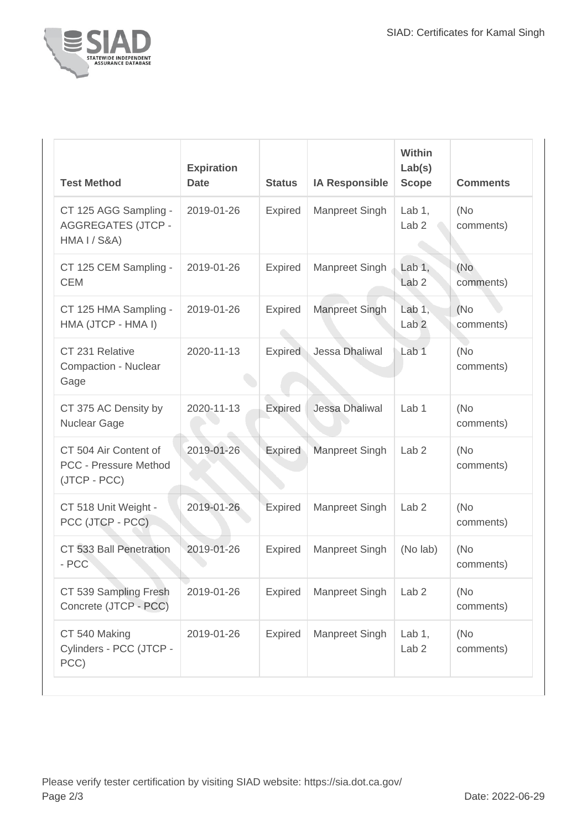

| <b>Test Method</b>                                                            | <b>Expiration</b><br><b>Date</b> | <b>Status</b>  | <b>IA Responsible</b> | Within<br>Lab(s)<br><b>Scope</b> | <b>Comments</b>   |
|-------------------------------------------------------------------------------|----------------------------------|----------------|-----------------------|----------------------------------|-------------------|
| CT 125 AGG Sampling -<br><b>AGGREGATES (JTCP -</b><br><b>HMA I / S&amp;A)</b> | 2019-01-26                       | <b>Expired</b> | Manpreet Singh        | Lab $1$ ,<br>Lab <sub>2</sub>    | (No)<br>comments) |
| CT 125 CEM Sampling -<br><b>CEM</b>                                           | 2019-01-26                       | <b>Expired</b> | Manpreet Singh        | Lab $1,$<br>Lab <sub>2</sub>     | (No<br>comments)  |
| CT 125 HMA Sampling -<br>HMA (JTCP - HMA I)                                   | 2019-01-26                       | <b>Expired</b> | Manpreet Singh        | Lab $1$ ,<br>Lab <sub>2</sub>    | (No)<br>comments) |
| CT 231 Relative<br>Compaction - Nuclear<br>Gage                               | 2020-11-13                       | <b>Expired</b> | Jessa Dhaliwal        | Lab <sub>1</sub>                 | (No)<br>comments) |
| CT 375 AC Density by<br><b>Nuclear Gage</b>                                   | 2020-11-13                       | <b>Expired</b> | Jessa Dhaliwal        | Lab <sub>1</sub>                 | (No<br>comments)  |
| CT 504 Air Content of<br><b>PCC - Pressure Method</b><br>(JTCP - PCC)         | 2019-01-26                       | Expired        | Manpreet Singh        | Lab <sub>2</sub>                 | (No)<br>comments) |
| CT 518 Unit Weight -<br>PCC (JTCP - PCC)                                      | 2019-01-26                       | Expired        | Manpreet Singh        | Lab <sub>2</sub>                 | (No)<br>comments) |
| CT 533 Ball Penetration<br>- PCC                                              | 2019-01-26                       | <b>Expired</b> | Manpreet Singh        | (No lab)                         | (No)<br>comments) |
| CT 539 Sampling Fresh<br>Concrete (JTCP - PCC)                                | 2019-01-26                       | <b>Expired</b> | Manpreet Singh        | Lab <sub>2</sub>                 | (No<br>comments)  |
| CT 540 Making<br>Cylinders - PCC (JTCP -<br>PCC)                              | 2019-01-26                       | Expired        | Manpreet Singh        | Lab $1,$<br>Lab <sub>2</sub>     | (No)<br>comments) |